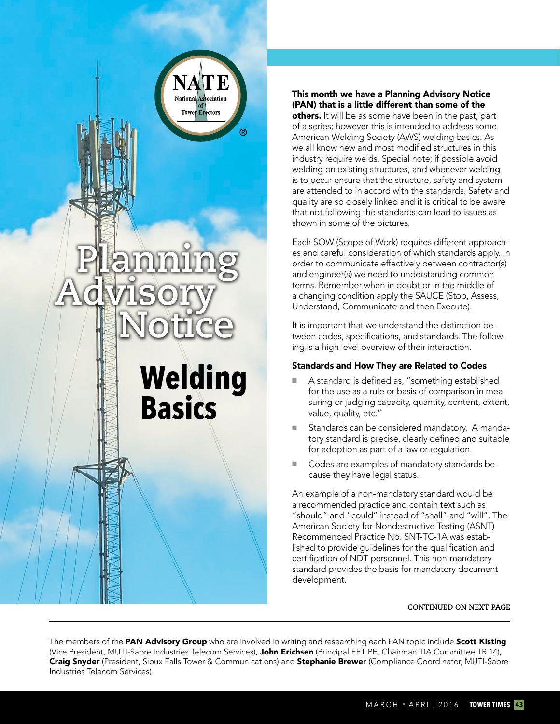

# This month we have a Planning Advisory Notice (PAN) that is a little different than some of the

others. It will be as some have been in the past, part of a series; however this is intended to address some American Welding Society (AWS) welding basics. As we all know new and most modified structures in this industry require welds. Special note; if possible avoid welding on existing structures, and whenever welding is to occur ensure that the structure, safety and system are attended to in accord with the standards. Safety and quality are so closely linked and it is critical to be aware that not following the standards can lead to issues as shown in some of the pictures.

Each SOW (Scope of Work) requires different approaches and careful consideration of which standards apply. In order to communicate effectively between contractor(s) and engineer(s) we need to understanding common terms. Remember when in doubt or in the middle of a changing condition apply the SAUCE (Stop, Assess, Understand, Communicate and then Execute).

It is important that we understand the distinction between codes, specifications, and standards. The following is a high level overview of their interaction.

# Standards and How They are Related to Codes

- A standard is defined as, "something established for the use as a rule or basis of comparison in measuring or judging capacity, quantity, content, extent, value, quality, etc."
- Standards can be considered mandatory. A mandatory standard is precise, clearly defined and suitable for adoption as part of a law or regulation.
- Codes are examples of mandatory standards because they have legal status.

An example of a non-mandatory standard would be a recommended practice and contain text such as "should" and "could" instead of "shall" and "will". The American Society for Nondestructive Testing (ASNT) Recommended Practice No. SNT-TC-1A was established to provide guidelines for the qualification and certification of NDT personnel. This non-mandatory standard provides the basis for mandatory document development.

#### **CONTINUED ON NEXT PAGE**

The members of the **PAN Advisory Group** who are involved in writing and researching each PAN topic include **Scott Kisting** (Vice President, MUTI-Sabre Industries Telecom Services), John Erichsen (Principal EET PE, Chairman TIA Committee TR 14), Craig Snyder (President, Sioux Falls Tower & Communications) and Stephanie Brewer (Compliance Coordinator, MUTI-Sabre Industries Telecom Services).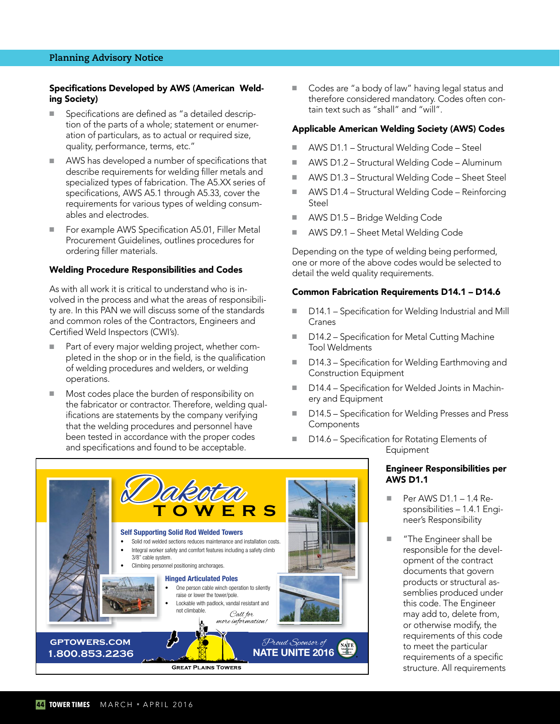## **Planning Advisory Notice**

## Specifications Developed by AWS (American Welding Society)

- Specifications are defined as "a detailed description of the parts of a whole; statement or enumeration of particulars, as to actual or required size, quality, performance, terms, etc."
- AWS has developed a number of specifications that describe requirements for welding filler metals and specialized types of fabrication. The A5.XX series of specifications, AWS A5.1 through A5.33, cover the requirements for various types of welding consumables and electrodes.
- For example AWS Specification A5.01, Filler Metal Procurement Guidelines, outlines procedures for ordering filler materials.

#### Welding Procedure Responsibilities and Codes

As with all work it is critical to understand who is involved in the process and what the areas of responsibility are. In this PAN we will discuss some of the standards and common roles of the Contractors, Engineers and Certified Weld Inspectors (CWI's).

- Part of every major welding project, whether completed in the shop or in the field, is the qualification of welding procedures and welders, or welding operations.
- Most codes place the burden of responsibility on the fabricator or contractor. Therefore, welding qualifications are statements by the company verifying that the welding procedures and personnel have been tested in accordance with the proper codes and specifications and found to be acceptable.

■ Codes are "a body of law" having legal status and therefore considered mandatory. Codes often contain text such as "shall" and "will".

## Applicable American Welding Society (AWS) Codes

- AWS D1.1 Structural Welding Code Steel
- AWS D1.2 Structural Welding Code Aluminum
- AWS D1.3 Structural Welding Code Sheet Steel
- AWS D1.4 Structural Welding Code Reinforcing Steel
- AWS D1.5 Bridge Welding Code
- AWS D9.1 Sheet Metal Welding Code

Depending on the type of welding being performed, one or more of the above codes would be selected to detail the weld quality requirements.

## Common Fabrication Requirements D14.1 – D14.6

- D14.1 Specification for Welding Industrial and Mill Cranes
- D14.2 Specification for Metal Cutting Machine Tool Weldments
- D14.3 Specification for Welding Earthmoving and Construction Equipment
- D14.4 Specification for Welded Joints in Machinery and Equipment
- D14.5 Specification for Welding Presses and Press **Components**
- D14.6 Specification for Rotating Elements of Equipment

## Engineer Responsibilities per AWS D1.1

- Per AWS D1.1 1.4 Responsibilities – 1.4.1 Engineer's Responsibility
- "The Engineer shall be responsible for the development of the contract documents that govern products or structural assemblies produced under this code. The Engineer may add to, delete from, or otherwise modify, the requirements of this code to meet the particular requirements of a specific structure. All requirements

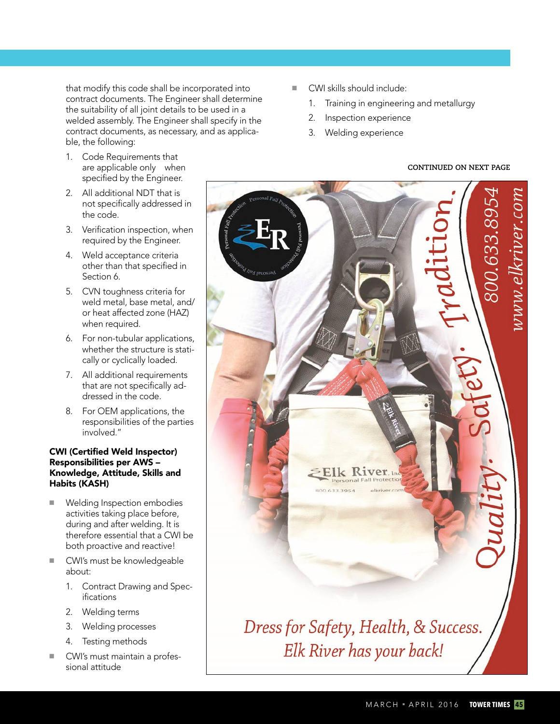that modify this code shall be incorporated into contract documents. The Engineer shall determine the suitability of all joint details to be used in a welded assembly. The Engineer shall specify in the contract documents, as necessary, and as applicable, the following:

- 1. Code Requirements that are applicable only when specified by the Engineer.
- 2. All additional NDT that is not specifically addressed in the code.
- 3. Verification inspection, when required by the Engineer.
- 4. Weld acceptance criteria other than that specified in Section 6.
- 5. CVN toughness criteria for weld metal, base metal, and/ or heat affected zone (HAZ) when required.
- 6. For non-tubular applications, whether the structure is statically or cyclically loaded.
- 7. All additional requirements that are not specifically addressed in the code.
- 8. For OEM applications, the responsibilities of the parties involved."

## CWI (Certified Weld Inspector) Responsibilities per AWS – Knowledge, Attitude, Skills and Habits (KASH)

- Welding Inspection embodies activities taking place before, during and after welding. It is therefore essential that a CWI be both proactive and reactive!
- CWI's must be knowledgeable about:
	- 1. Contract Drawing and Specifications
	- 2. Welding terms
	- 3. Welding processes
	- 4. Testing methods
- CWI's must maintain a professional attitude
- CWI skills should include:
	- 1. Training in engineering and metallurgy
	- 2. Inspection experience
	- 3. Welding experience

# **CONTINUED ON NEXT PAGE**

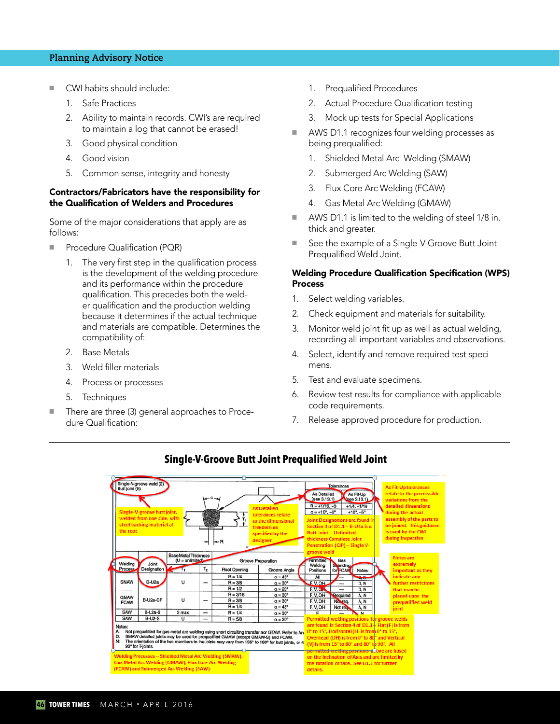## **Planning Advisory Notice**

- CWI habits should include:
	- 1. Safe Practices
	- 2. Ability to maintain records. CWI's are required to maintain a log that cannot be erased!
	- 3. Good physical condition
	- 4. Good vision
	- 5. Common sense, integrity and honesty

## Contractors/Fabricators have the responsibility for the Qualification of Welders and Procedures

Some of the major considerations that apply are as follows:

- Procedure Qualification (PQR)
	- 1. The very first step in the qualification process is the development of the welding procedure and its performance within the procedure qualification. This precedes both the welder qualification and the production welding because it determines if the actual technique and materials are compatible. Determines the compatibility of:
	- 2. Base Metals
	- 3. Weld filler materials
	- 4. Process or processes
	- 5. Techniques
- There are three (3) general approaches to Procedure Qualification:
- 1. Prequalified Procedures
- 2. Actual Procedure Qualification testing
- 3. Mock up tests for Special Applications
- AWS D1.1 recognizes four welding processes as being prequalified:
	- 1. Shielded Metal Arc Welding (SMAW)
	- 2. Submerged Arc Welding (SAW)
	- 3. Flux Core Arc Welding (FCAW)
	- 4. Gas Metal Arc Welding (GMAW)
- AWS D1.1 is limited to the welding of steel 1/8 in. thick and greater.
- See the example of a Single-V-Groove Butt Joint Prequalified Weld Joint.

## Welding Procedure Qualification Specification (WPS) Process

- 1. Select welding variables.
- 2. Check equipment and materials for suitability.
- 3. Monitor weld joint fit up as well as actual welding, recording all important variables and observations.
- 4. Select, identify and remove required test specimens.
- 5. Test and evaluate specimens.
- 6. Review test results for compliance with applicable code requirements.
- 7. Release approved procedure for production.



## **Single-V-Groove Butt Joint Prequalified Weld Joint**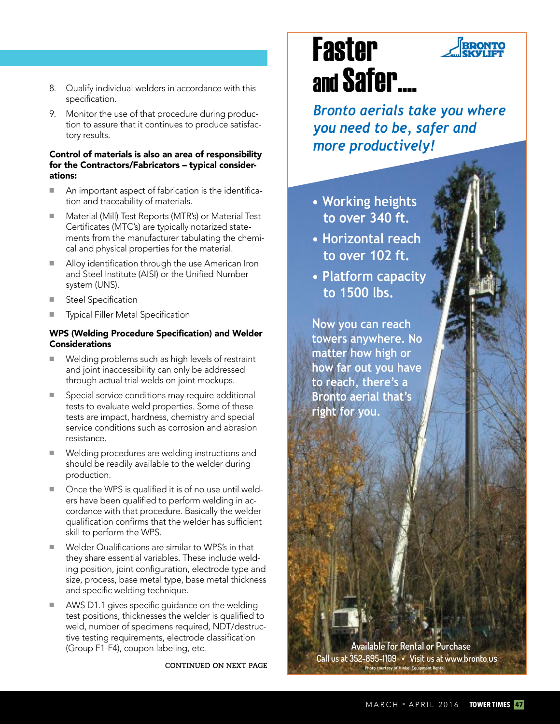- 8. Qualify individual welders in accordance with this specification.
- 9. Monitor the use of that procedure during production to assure that it continues to produce satisfactory results.

## Control of materials is also an area of responsibility for the Contractors/Fabricators – typical considerations:

- An important aspect of fabrication is the identification and traceability of materials.
- Material (Mill) Test Reports (MTR's) or Material Test Certificates (MTC's) are typically notarized statements from the manufacturer tabulating the chemical and physical properties for the material.
- Alloy identification through the use American Iron and Steel Institute (AISI) or the Unified Number system (UNS).
- Steel Specification
- **Typical Filler Metal Specification**

# WPS (Welding Procedure Specification) and Welder **Considerations**

- Welding problems such as high levels of restraint and joint inaccessibility can only be addressed through actual trial welds on joint mockups.
- Special service conditions may require additional tests to evaluate weld properties. Some of these tests are impact, hardness, chemistry and special service conditions such as corrosion and abrasion resistance.
- Welding procedures are welding instructions and should be readily available to the welder during production.
- Once the WPS is qualified it is of no use until welders have been qualified to perform welding in accordance with that procedure. Basically the welder qualification confirms that the welder has sufficient skill to perform the WPS.
- Welder Qualifications are similar to WPS's in that they share essential variables. These include welding position, joint configuration, electrode type and size, process, base metal type, base metal thickness and specific welding technique.
- AWS D1.1 gives specific guidance on the welding test positions, thicknesses the welder is qualified to weld, number of specimens required, NDT/destructive testing requirements, electrode classification (Group F1-F4), coupon labeling, etc.

**CONTINUED ON NEXT PAGE** 

# Faster and Safer....

*Bronto aerials take you where you need to be, safer and more productively!*

- **Working heights to over 340 ft.**
- **Horizontal reach to over 102 ft.**
- **Platform capacity to 1500 lbs.**

**Now you can reach towers anywhere. No matter how high or how far out you have to reach, there's a Bronto aerial that's right for you.**

 **Available for Rental or Purchase Call us at 352-895-1109 • Visit us at www.bronto.us Photo courtesy of Hinkel Equipment Rental**